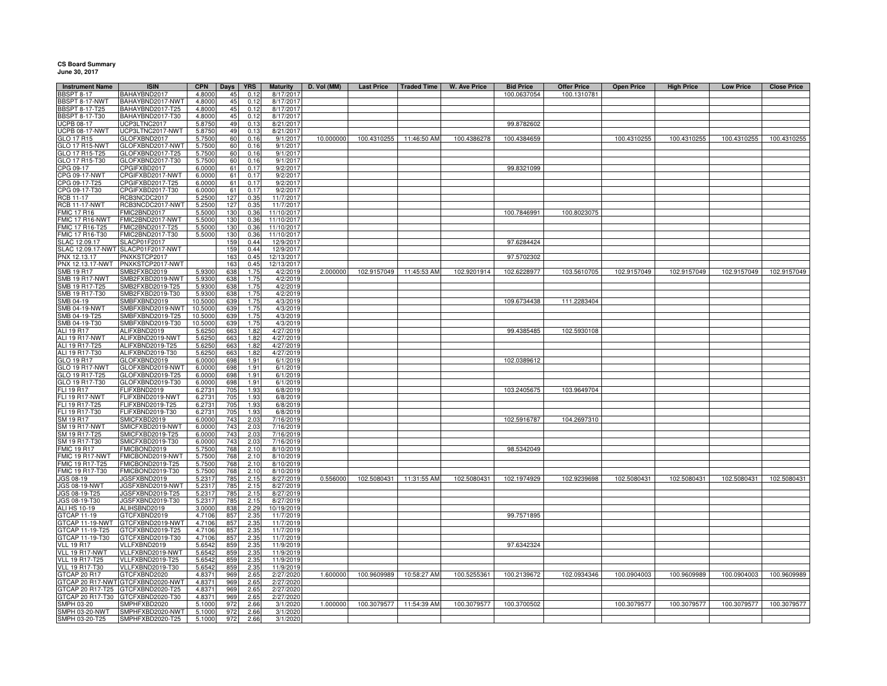## **CS Board Summary June 30, 2017**

| <b>Instrument Name</b>                  | <b>ISIN</b>                          | <b>CPN</b>         |            | <b>YRS</b>       | <b>Maturity</b>         | D. Vol (MM) | <b>Last Price</b>        | <b>Traded Time</b>       | <b>W. Ave Price</b> | <b>Bid Price</b>        | <b>Offer Price</b> | <b>Open Price</b> | <b>High Price</b> | <b>Low Price</b> | <b>Close Price</b>      |
|-----------------------------------------|--------------------------------------|--------------------|------------|------------------|-------------------------|-------------|--------------------------|--------------------------|---------------------|-------------------------|--------------------|-------------------|-------------------|------------------|-------------------------|
| <b>BSPT 8-17</b>                        | BAHAYBND2017                         | 4.8000             | Days<br>45 | 0.12             | 8/17/201                |             |                          |                          |                     | 100.0637054             | 100.1310781        |                   |                   |                  |                         |
| BBSPT 8-17-NWT                          | BAHAYBND2017-NWT                     | 4.8000             | 45         | 0.12             | 8/17/201                |             |                          |                          |                     |                         |                    |                   |                   |                  |                         |
| <b>BBSPT 8-17-T25</b>                   | BAHAYBND2017-T25                     | 4.8000             | 45         | 0.12             | 8/17/2017               |             |                          |                          |                     |                         |                    |                   |                   |                  |                         |
| BBSPT 8-17-T30                          | BAHAYBND2017-T30                     | 4.8000             | 45         | 0.12             | 8/17/2017               |             |                          |                          |                     |                         |                    |                   |                   |                  |                         |
| UCPB 08-17                              | UCP3LTNC2017                         | 5.8750             | 49         | 0.13             | 8/21/2017               |             |                          |                          |                     | 99.8782602              |                    |                   |                   |                  |                         |
| <b>UCPB 08-17-NWT</b>                   | UCP3LTNC2017-NWT                     | 5.8750             | 49         | 0.13             | 8/21/2017               |             |                          |                          |                     |                         |                    |                   |                   |                  |                         |
| GLO 17 R15<br><b>GLO 17 R15-NWT</b>     | GLOFXBND2017<br>GLOFXBND2017-NWT     | 5.7500<br>5.7500   | 60<br>60   | 0.16<br>0.16     | 9/1/2017<br>9/1/2017    | 10.000000   |                          | 100.4310255 11:46:50 AM  | 100.4386278         | 100.4384659             |                    | 100.4310255       | 100.4310255       | 100.4310255      | 100.4310255             |
| GLO 17 R15-T25                          | GLOFXBND2017-T25                     | 5.7500             | 60         | 0.16             | 9/1/2017                |             |                          |                          |                     |                         |                    |                   |                   |                  |                         |
| GLO 17 R15-T30                          | GLOFXBND2017-T30                     | 5.7500             | 60         | 0.16             | 9/1/2017                |             |                          |                          |                     |                         |                    |                   |                   |                  |                         |
| CPG 09-17                               | CPGIFXBD2017                         | 6.0000             | 61         | 0.17             | 9/2/2017                |             |                          |                          |                     | 99.8321099              |                    |                   |                   |                  |                         |
| CPG 09-17-NWT                           | CPGIFXBD2017-NWT                     | 6.0000             | 61         | 0.17             | 9/2/2017                |             |                          |                          |                     |                         |                    |                   |                   |                  |                         |
| CPG 09-17-T25                           | CPGIFXBD2017-T25                     | 6.0000             | 61         | 0.17             | 9/2/2017                |             |                          |                          |                     |                         |                    |                   |                   |                  |                         |
| CPG 09-17-T30<br>RCB 11-17              | CPGIFXBD2017-T30<br>RCB3NCDC2017     | 6.0000<br>5.2500   | 61<br>127  | 0.17<br>0.35     | 9/2/2017<br>11/7/2017   |             |                          |                          |                     |                         |                    |                   |                   |                  |                         |
| <b>RCB 11-17-NWT</b>                    | RCB3NCDC2017-NWT                     | 5.2500             | 127        | 0.35             | 11/7/2017               |             |                          |                          |                     |                         |                    |                   |                   |                  |                         |
| <b>FMIC 17 R16</b>                      | FMIC2BND2017                         | 5.5000             | 130        | 0.36             | 11/10/2017              |             |                          |                          |                     | 100.7846991             | 100.8023075        |                   |                   |                  |                         |
| FMIC 17 R16-NWT                         | FMIC2BND2017-NWT                     | 5.5000             | 130        | 0.36             | 11/10/2017              |             |                          |                          |                     |                         |                    |                   |                   |                  |                         |
| FMIC 17 R16-T25                         | FMIC2BND2017-T25                     | 5.5000             | 130        | 0.36             | 11/10/2017              |             |                          |                          |                     |                         |                    |                   |                   |                  |                         |
| FMIC 17 R16-T30                         | FMIC2BND2017-T30                     | 5.5000             | 130        | 0.36             | 11/10/2017              |             |                          |                          |                     |                         |                    |                   |                   |                  |                         |
| SLAC 12.09.17                           | SLACP01F2017                         |                    | 159        | 0.44<br>0.44     | 12/9/2017               |             |                          |                          |                     | 97.6284424              |                    |                   |                   |                  |                         |
| SLAC 12.09.17-NWT<br>PNX 12.13.17       | SLACP01F2017-NWT<br>PNXKSTCP2017     |                    | 159<br>163 | 0.45             | 12/9/2017<br>12/13/2017 |             |                          |                          |                     | 97.5702302              |                    |                   |                   |                  |                         |
| PNX 12.13.17-NWT                        | PNXKSTCP2017-NWT                     |                    | 163        | 0.45             | 12/13/2017              |             |                          |                          |                     |                         |                    |                   |                   |                  |                         |
| SMB 19 R17                              | SMB2FXBD2019                         | 5.9300             | 638        | 1.75             | 4/2/2019                | 2.000000    |                          | 102.9157049  11:45:53 AM | 102.9201914         | 102.6228977             | 103.5610705        | 102.9157049       | 102.9157049       | 102.9157049      | 102.9157049             |
| <b>SMB 19 R17-NWT</b>                   | SMB2FXBD2019-NWT                     | 5.9300             | 638        | 1.75             | 4/2/2019                |             |                          |                          |                     |                         |                    |                   |                   |                  |                         |
| SMB 19 R17-T25                          | SMB2FXBD2019-T25                     | 5.9300             | 638        | 1.75             | 4/2/2019                |             |                          |                          |                     |                         |                    |                   |                   |                  |                         |
| SMB 19 R17-T30                          | SMB2FXBD2019-T30                     | 5.9300             | 638        | 1.75             | 4/2/2019                |             |                          |                          |                     |                         |                    |                   |                   |                  |                         |
| SMB 04-19<br><b>SMB 04-19-NWT</b>       | SMBFXBND2019<br>SMBFXBND2019-NWT     | 10.5000<br>10.5000 | 639<br>639 | 1.75<br>1.75     | 4/3/2019<br>4/3/2019    |             |                          |                          |                     | 109.6734438             | 111.2283404        |                   |                   |                  |                         |
| SMB 04-19-T25                           | SMBFXBND2019-T25                     | 10.5000            | 639        | 1.75             | 4/3/2019                |             |                          |                          |                     |                         |                    |                   |                   |                  |                         |
| SMB 04-19-T30                           | SMBFXBND2019-T30                     | 10.5000            | 639        | 1.75             | 4/3/2019                |             |                          |                          |                     |                         |                    |                   |                   |                  |                         |
| ALI 19 R17                              | ALIFXBND2019                         | 5.625              | 663        | 1.82             | 4/27/2019               |             |                          |                          |                     | 99.4385485              | 102.5930108        |                   |                   |                  |                         |
| ALI 19 R17-NWT                          | ALIFXBND2019-NWT                     | 5.6250             | 663        | 182              | 4/27/2019               |             |                          |                          |                     |                         |                    |                   |                   |                  |                         |
| ALI 19 R17-T25                          | ALIFXBND2019-T25                     | 5.6250             | 663        | 1.82             | 4/27/2019               |             |                          |                          |                     |                         |                    |                   |                   |                  |                         |
| ALI 19 R17-T30<br>GLO 19 R17            | ALIFXBND2019-T30<br>GLOFXBND2019     | 5.6250<br>6.0000   | 663<br>698 | 1.82<br>1.91     | 4/27/2019<br>6/1/2019   |             |                          |                          |                     | 102.0389612             |                    |                   |                   |                  |                         |
| <b>GLO 19 R17-NWT</b>                   | GLOFXBND2019-NWT                     | 6.000              | 698        | 1.9 <sup>°</sup> | 6/1/2019                |             |                          |                          |                     |                         |                    |                   |                   |                  |                         |
| GLO 19 R17-T25                          | GLOFXBND2019-T25                     | 6.000              | 698        | 1.9 <sup>°</sup> | 6/1/2019                |             |                          |                          |                     |                         |                    |                   |                   |                  |                         |
| GLO 19 R17-T30                          | GLOFXBND2019-T30                     | 6.0000             | 698        | 1.9              | 6/1/2019                |             |                          |                          |                     |                         |                    |                   |                   |                  |                         |
| FLI 19 R17                              | FLIFXBND2019                         | 6.2731             | 705        | 1.9 <sup>′</sup> | 6/8/2019                |             |                          |                          |                     | 103.2405675             | 103.9649704        |                   |                   |                  |                         |
| <b>FLI 19 R17-NWT</b>                   | FLIFXBND2019-NWT                     | 6.2731             | 705        | 1.93             | 6/8/2019                |             |                          |                          |                     |                         |                    |                   |                   |                  |                         |
| FLI 19 R17-T25<br>FLI 19 R17-T30        | ELIFXBND2019-T25<br>ELIFXBND2019-T30 | 6.2731<br>6.2731   | 705<br>705 | 1.93<br>1.93     | 6/8/2019<br>6/8/2019    |             |                          |                          |                     |                         |                    |                   |                   |                  |                         |
| SM 19 R17                               | SMICFXBD2019                         | 6.0000             | 743        | 2.03             | 7/16/2019               |             |                          |                          |                     | 102.5916787             | 104.2697310        |                   |                   |                  |                         |
| SM 19 R17-NWT                           | SMICFXBD2019-NWT                     | 6.0000             | 743        | 2.03             | 7/16/2019               |             |                          |                          |                     |                         |                    |                   |                   |                  |                         |
| SM 19 R17-T25                           | SMICFXBD2019-T25                     | 6.0000             | 743        | 2.03             | 7/16/2019               |             |                          |                          |                     |                         |                    |                   |                   |                  |                         |
| SM 19 R17-T30                           | SMICFXBD2019-T30                     | 6.0000             | 743        | 2.03             | 7/16/2019               |             |                          |                          |                     |                         |                    |                   |                   |                  |                         |
| MIC 19 R17                              | FMICBOND2019                         | 5.7500             | 768        | 2.10             | 8/10/2019               |             |                          |                          |                     | 98.5342049              |                    |                   |                   |                  |                         |
| FMIC 19 R17-NWT<br>FMIC 19 R17-T25      | FMICBOND2019-NWT<br>MICBOND2019-T25  | 5.7500<br>5.7500   | 768<br>768 | 2.10<br>2.10     | 8/10/2019<br>8/10/2019  |             |                          |                          |                     |                         |                    |                   |                   |                  |                         |
| FMIC 19 R17-T30                         | FMICBOND2019-T30                     | 5.7500             | 768        | 2.10             | 8/10/2019               |             |                          |                          |                     |                         |                    |                   |                   |                  |                         |
| JGS 08-19                               | JGSFXBND2019                         | 5.2317             | 785        | 2.15             | 8/27/2019               | 0.556000    |                          | 102.5080431  11:31:55 AM | 102.5080431         | 102.1974929             | 102.9239698        | 102.5080431       | 102.5080431       | 102.5080431      | 102.5080431             |
| JGS 08-19-NWT                           | JGSFXBND2019-NWT                     | 5.2317             | 785        | 2.15             | 8/27/2019               |             |                          |                          |                     |                         |                    |                   |                   |                  |                         |
| JGS 08-19-T25                           | JGSFXBND2019-T25                     | 5.2317             | 785        | 2.15             | 8/27/2019               |             |                          |                          |                     |                         |                    |                   |                   |                  |                         |
| JGS 08-19-T30                           | JGSFXBND2019-T30                     | 5.2317             | 785        | 2.15             | 8/27/2019               |             |                          |                          |                     |                         |                    |                   |                   |                  |                         |
| ALI HS 10-19<br>GTCAP 11-19             | ALIHSBND2019<br>GTCFXBND2019         | 3.0000<br>4.7106   | 838<br>857 | 2.29<br>2.35     | 10/19/2019<br>11/7/2019 |             |                          |                          |                     | 99.7571895              |                    |                   |                   |                  |                         |
| GTCAP 11-19-NWT                         | GTCFXBND2019-NWT                     | 4.7106             | 857        | 2.35             | 11/7/2019               |             |                          |                          |                     |                         |                    |                   |                   |                  |                         |
| GTCAP 11-19-T25                         | GTCFXBND2019-T25                     | 4.7106             | 857        | 2.35             | 11/7/2019               |             |                          |                          |                     |                         |                    |                   |                   |                  |                         |
| GTCAP 11-19-T30                         | GTCFXBND2019-T30                     | 4.7106             | 857        | 2.35             | 11/7/2019               |             |                          |                          |                     |                         |                    |                   |                   |                  |                         |
| <b>VLL 19 R17</b>                       | VLLFXBND2019                         | 5.6542             | 859        | 2.35             | 11/9/2019               |             |                          |                          |                     | 97.6342324              |                    |                   |                   |                  |                         |
| VLL 19 R17-NWT                          | VLLFXBND2019-NWT                     | 5.6542             | 859        | 2.35             | 11/9/2019               |             |                          |                          |                     |                         |                    |                   |                   |                  |                         |
| VLL 19 R17-T25<br><b>VLL 19 R17-T30</b> | VLLFXBND2019-T25<br>VLLFXBND2019-T30 | 5.6542<br>5.6542   | 859<br>859 | 2.35<br>2.35     | 11/9/2019<br>11/9/2019  |             |                          |                          |                     |                         |                    |                   |                   |                  |                         |
| GTCAP 20 R17                            | GTCFXBND2020                         | 4.8371             | 969        | 2.65             | 2/27/2020               | 1.600000    | 100.9609989  10:58:27 AM |                          |                     | 100.5255361 100.2139672 | 102.0934346        | 100.0904003       | 100.9609989       |                  | 100.0904003 100.9609989 |
| GTCAP 20 R17-NWT                        | GTCFXBND2020-NWT                     | 4.8371             | 969        | 2.65             | 2/27/2020               |             |                          |                          |                     |                         |                    |                   |                   |                  |                         |
| GTCAP 20 R17-T25                        | GTCFXBND2020-T25                     | 4.8371             | 969        | 2.65             | 2/27/2020               |             |                          |                          |                     |                         |                    |                   |                   |                  |                         |
| GTCAP 20 R17-T30                        | GTCFXBND2020-T30                     | 4.8371             | 969        | 2.65             | 2/27/2020               |             |                          |                          |                     |                         |                    |                   |                   |                  |                         |
| SMPH 03-20                              | SMPHFXBD2020                         | 5.1000             | 972        | 2.66             | 3/1/2020                | 1.000000    |                          | 100.3079577 11:54:39 AM  | 100.3079577         | 100.3700502             |                    | 100.3079577       | 100.3079577       | 100.3079577      | 100.3079577             |
| <b>SMPH 03-20-NWT</b>                   | SMPHFXBD2020-NWT<br>SMPHFXBD2020-T25 | 5.1000             | 972<br>972 | 2.66             | 3/1/2020                |             |                          |                          |                     |                         |                    |                   |                   |                  |                         |
| SMPH 03-20-T25                          |                                      | 5.1000             |            | 2.66             | 3/1/2020                |             |                          |                          |                     |                         |                    |                   |                   |                  |                         |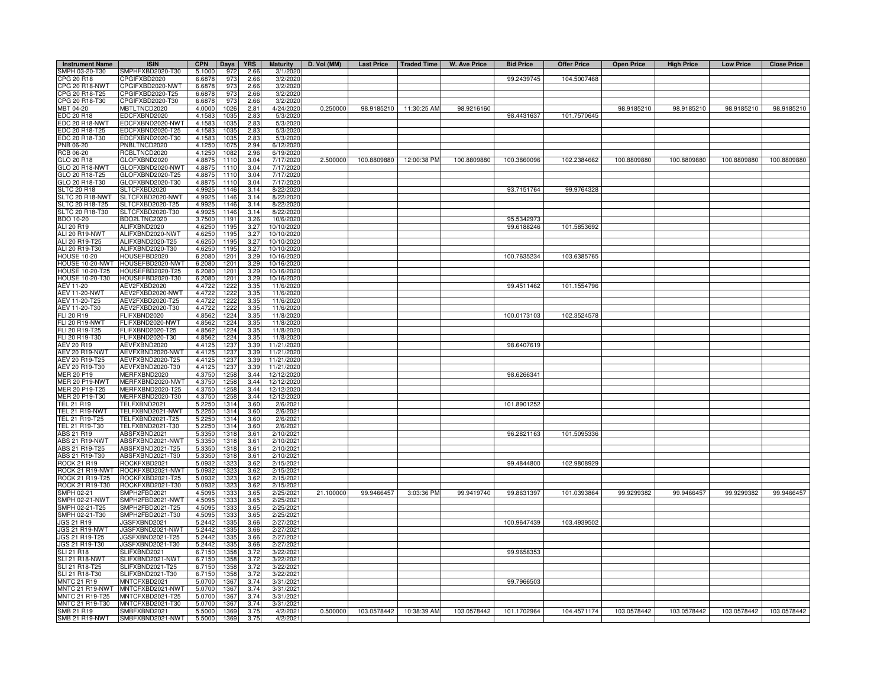| <b>Instrument Name</b>                | <b>ISIN</b>                          | <b>CPN</b>       | Days         | <b>YRS</b>   | <b>Maturity</b>          | D. Vol (MM) | Last Price   Traded Time |                          | W. Ave Price | <b>Bid Price</b> | <b>Offer Price</b> | <b>Open Price</b> | <b>High Price</b> | <b>Low Price</b> | <b>Close Price</b> |
|---------------------------------------|--------------------------------------|------------------|--------------|--------------|--------------------------|-------------|--------------------------|--------------------------|--------------|------------------|--------------------|-------------------|-------------------|------------------|--------------------|
| SMPH 03-20-T30                        | SMPHFXBD2020-T30                     | 5.1000           | 972          | 2.66         | 3/1/2020                 |             |                          |                          |              |                  |                    |                   |                   |                  |                    |
| CPG 20 R18                            | CPGIFXBD2020                         | 6.6878           | 973          | 2.66         | 3/2/2020                 |             |                          |                          |              | 99.2439745       | 104.5007468        |                   |                   |                  |                    |
| CPG 20 R18-NWT                        | CPGIFXBD2020-NWT                     | 6.6878           | 973          | 2.66         | 3/2/2020                 |             |                          |                          |              |                  |                    |                   |                   |                  |                    |
| CPG 20 R18-T25<br>CPG 20 R18-T30      | CPGIFXBD2020-T25<br>CPGIFXBD2020-T30 | 6.6878<br>6.6878 | 973<br>973   | 2.66<br>2.66 | 3/2/2020<br>3/2/2020     |             |                          |                          |              |                  |                    |                   |                   |                  |                    |
| MBT 04-20                             | <b>MBTLTNCD2020</b>                  | 4.0000           | 1026         | 2.81         | 4/24/2020                | 0.250000    | 98.9185210               | 11:30:25 AM              | 98.9216160   |                  |                    | 98.9185210        | 98.9185210        | 98.9185210       | 98.9185210         |
| EDC 20 R18                            | EDCFXBND2020                         | 4.1583           | 1035         | 2.83         | 5/3/2020                 |             |                          |                          |              | 98.4431637       | 101.7570645        |                   |                   |                  |                    |
| EDC 20 R18-NWT                        | EDCFXBND2020-NWT                     | 4.1583           | 1035         | 2.83         | 5/3/2020                 |             |                          |                          |              |                  |                    |                   |                   |                  |                    |
| EDC 20 R18-T25                        | EDCFXBND2020-T25                     | 4.1583           | 1035         | 2.83         | 5/3/2020                 |             |                          |                          |              |                  |                    |                   |                   |                  |                    |
| EDC 20 R18-T30                        | DCFXBND2020-T30                      | 4.1583           | 1035         | 2.83         | 5/3/2020                 |             |                          |                          |              |                  |                    |                   |                   |                  |                    |
| PNB 06-20                             | NBLTNCD2020                          | 4.1250           | 1075         | 2.94         | 6/12/2020                |             |                          |                          |              |                  |                    |                   |                   |                  |                    |
| RCB 06-20                             | RCBLTNCD2020                         | 4.1250           | 108          | 2.96         | 6/19/2020                |             |                          |                          |              |                  |                    |                   |                   |                  |                    |
| GLO 20 R18<br>GLO 20 R18-NWT          | GLOFXBND2020<br>GLOFXBND2020-NWT     | 4.8875<br>4.8875 | 1110<br>1110 | 3.04<br>3.04 | 7/17/2020<br>7/17/2020   | 2.500000    |                          | 100.8809880 12:00:38 PM  | 100.8809880  | 100.3860096      | 102.2384662        | 100.8809880       | 100.8809880       | 100.8809880      | 100.8809880        |
| GLO 20 R18-T25                        | GLOFXBND2020-T25                     | 4.8875           | 1110         | 3.04         | 7/17/2020                |             |                          |                          |              |                  |                    |                   |                   |                  |                    |
| GLO 20 R18-T30                        | GLOFXBND2020-T30                     | 4.8875           | 1110         | 3.04         | 7/17/2020                |             |                          |                          |              |                  |                    |                   |                   |                  |                    |
| <b>SLTC 20 R18</b>                    | SLTCFXBD2020                         | 4.992            | 1146         | 3.14         | 8/22/2020                |             |                          |                          |              | 93.7151764       | 99.9764328         |                   |                   |                  |                    |
| LTC 20 R18-NWT                        | SLTCFXBD2020-NWT                     | 4.992            | 1146         | 3.14         | 8/22/202                 |             |                          |                          |              |                  |                    |                   |                   |                  |                    |
| <b>SLTC 20 R18-T25</b>                | LTCFXBD2020-T25                      | 4.9925           | 1146         | 3.14         | 8/22/202                 |             |                          |                          |              |                  |                    |                   |                   |                  |                    |
| SLTC 20 R18-T30                       | SLTCFXBD2020-T30                     | 4.9925           | 1146         | 3.14         | 8/22/2020                |             |                          |                          |              |                  |                    |                   |                   |                  |                    |
| BDO 10-20                             | BDO2LTNC2020                         | 3.7500           | 1191         | 3.26         | 10/6/2020                |             |                          |                          |              | 95.5342973       |                    |                   |                   |                  |                    |
| ALI 20 R19<br>ALI 20 R19-NWT          | ALIFXBND2020<br>ALIFXBND2020-NWT     | 4.6250<br>4.6250 | 1195<br>1195 | 3.27<br>3.27 | 10/10/202<br>10/10/202   |             |                          |                          |              | 99.6188246       | 101.5853692        |                   |                   |                  |                    |
| ALI 20 R19-T25                        | ALIFXBND2020-T25                     | 4.6250           | 1195         | 3.27         | 10/10/202                |             |                          |                          |              |                  |                    |                   |                   |                  |                    |
| ALI 20 R19-T30                        | ALIFXBND2020-T30                     | 4.6250           | 1195         | 3.27         | 10/10/2020               |             |                          |                          |              |                  |                    |                   |                   |                  |                    |
| <b>HOUSE 10-20</b>                    | HOUSEFBD2020                         | 6.2080           | 1201         | 3.29         | 10/16/2020               |             |                          |                          |              | 100.7635234      | 103.6385765        |                   |                   |                  |                    |
| HOUSE 10-20-NWT                       | HOUSEFBD2020-NWT                     | 6.2080           | 1201         | 3.29         | 10/16/202                |             |                          |                          |              |                  |                    |                   |                   |                  |                    |
| <b>HOUSE 10-20-T25</b>                | OUSEFBD2020-T25                      | 6.2080           | 1201         | 3.29         | 10/16/2020               |             |                          |                          |              |                  |                    |                   |                   |                  |                    |
| <b>HOUSE 10-20-T30</b>                | OUSEFBD2020-T30                      | 6.2080           | 1201         | 3.29         | 10/16/2020               |             |                          |                          |              |                  |                    |                   |                   |                  |                    |
| <b>AEV 11-20</b>                      | AEV2FXBD2020                         | 4.4722           | 1222         | 3.35         | 11/6/2020                |             |                          |                          |              | 99.4511462       | 101.1554796        |                   |                   |                  |                    |
| <b>AEV 11-20-NWT</b><br>AEV 11-20-T25 | AEV2FXBD2020-NWT<br>AEV2FXBD2020-T25 | 4.4722<br>4.4722 | 1222<br>1222 | 3.35<br>3.35 | 11/6/2020<br>11/6/2020   |             |                          |                          |              |                  |                    |                   |                   |                  |                    |
| AEV 11-20-T30                         | AEV2FXBD2020-T30                     | 4.4722           | 1222         | 3.35         | 11/6/2020                |             |                          |                          |              |                  |                    |                   |                   |                  |                    |
| FLI 20 R19                            | FLIFXBND2020                         | 4.8562           | 1224         | 3.35         | 11/8/2020                |             |                          |                          |              | 100.0173103      | 102.3524578        |                   |                   |                  |                    |
| FLI 20 R19-NWT                        | LIFXBND2020-NWT                      | 4.8562           | 1224         | 3.35         | 11/8/2020                |             |                          |                          |              |                  |                    |                   |                   |                  |                    |
| FLI 20 R19-T25                        | LIFXBND2020-T25                      | 4.8562           | 1224         | 3.35         | 11/8/2020                |             |                          |                          |              |                  |                    |                   |                   |                  |                    |
| FLI 20 R19-T30                        | LIFXBND2020-T30                      | 4.856            | 1224         | 3.35         | 11/8/2020                |             |                          |                          |              |                  |                    |                   |                   |                  |                    |
| AEV 20 R19                            | AEVFXBND2020<br>AEVFXBND2020-NWT     | 4.4125           | 1237         | 3.39         | 11/21/2020               |             |                          |                          |              | 98.6407619       |                    |                   |                   |                  |                    |
| AEV 20 R19-NWT<br>AEV 20 R19-T25      | AEVFXBND2020-T25                     | 4.4125<br>4.4125 | 1237<br>1237 | 3.39<br>3.39 | 11/21/2020<br>11/21/2020 |             |                          |                          |              |                  |                    |                   |                   |                  |                    |
| AEV 20 R19-T30                        | AEVFXBND2020-T30                     | 4.4125           | 1237         | 3.39         | 11/21/2020               |             |                          |                          |              |                  |                    |                   |                   |                  |                    |
| <b>MER 20 P19</b>                     | MERFXBND2020                         | 4.3750           | 1258         | 3.44         | 12/12/2020               |             |                          |                          |              | 98.6266341       |                    |                   |                   |                  |                    |
| <b>JER 20 P19-NWT</b>                 | MERFXBND2020-NWT                     | 4.3750           | 1258         | 3.44         | 12/12/2020               |             |                          |                          |              |                  |                    |                   |                   |                  |                    |
| <b>IFR 20 P19-T25</b>                 | MERFXBND2020-T25                     | 4.3750           | 1258         | 3.44         | 12/12/2020               |             |                          |                          |              |                  |                    |                   |                   |                  |                    |
| <b>IER 20 P19-T30</b><br>EL 21 R19    | MERFXBND2020-T30<br>TELFXBND2021     | 4.3750<br>5.2250 | 1258<br>1314 | 3.44<br>3.60 | 12/12/2020<br>2/6/202    |             |                          |                          |              | 101.8901252      |                    |                   |                   |                  |                    |
| EL 21 R19-NWT                         | FELFXBND2021-NWT                     | 5.2250           | 1314         | 3.60         | 2/6/202                  |             |                          |                          |              |                  |                    |                   |                   |                  |                    |
| TEL 21 R19-T25                        | TELFXBND2021-T25                     | 5.2250           | 1314         | 3.60         | 2/6/202                  |             |                          |                          |              |                  |                    |                   |                   |                  |                    |
| TEL 21 R19-T30                        | FELFXBND2021-T30                     | 5.2250           | 1314         | 3.60         | 2/6/202                  |             |                          |                          |              |                  |                    |                   |                   |                  |                    |
| ABS 21 R19                            | ABSFXBND2021                         | 5.3350           | 1318         | 3.61         | 2/10/2021                |             |                          |                          |              | 96.2821163       | 101.5095336        |                   |                   |                  |                    |
| <b>ABS 21 R19-NWT</b>                 | ABSFXBND2021-NWT                     | 5.3350           | 1318         | 3.61         | 2/10/2021                |             |                          |                          |              |                  |                    |                   |                   |                  |                    |
| ABS 21 R19-T25                        | ABSFXBND2021-T25                     | 5.3350           | 1318         | 3.61         | 2/10/2021                |             |                          |                          |              |                  |                    |                   |                   |                  |                    |
| ABS 21 R19-T30<br>ROCK 21 R19         | ABSFXBND2021-T30<br>ROCKFXBD2021     | 5.3350<br>5.0932 | 1318<br>1323 | 3.61<br>3.62 | 2/10/2021<br>2/15/2021   |             |                          |                          |              | 99.4844800       | 102.9808929        |                   |                   |                  |                    |
| ROCK 21 R19-NWT                       | <b>ROCKFXBD2021-NWT</b>              | 5.0932           | 1323         | 3.62         | 2/15/2021                |             |                          |                          |              |                  |                    |                   |                   |                  |                    |
| ROCK 21 R19-T25                       | ROCKFXBD2021-T25                     | 5.0932           | 1323         | 3.62         | 2/15/2021                |             |                          |                          |              |                  |                    |                   |                   |                  |                    |
| ROCK 21 R19-T30                       | OCKFXBD2021-T30                      | 5.0932           | 132          | 3.62         | 2/15/2021                |             |                          |                          |              |                  |                    |                   |                   |                  |                    |
| SMPH 02-21                            | MPH2FBD2021                          | 4.5095           | 1333         | 3.65         | 2/25/2021                | 21.100000   | 99.9466457               | 3:03:36 PM               | 99.9419740   | 99.8631397       | 101.0393864        | 99.9299382        | 99.9466457        | 99.9299382       | 99.9466457         |
| SMPH 02-21-NWT<br>SMPH 02-21-T25      | MPH2FBD2021-NWT<br>SMPH2FBD2021-T25  | 4.5095           | 133<br>1333  | 3.65         | 2/25/2021<br>2/25/2021   |             |                          |                          |              |                  |                    |                   |                   |                  |                    |
| SMPH 02-21-T30                        | SMPH2FBD2021-T30                     | 4.5095<br>4.5095 | 1333         | 3.65<br>3.65 | 2/25/2021                |             |                          |                          |              |                  |                    |                   |                   |                  |                    |
| JGS 21 R19                            | JGSFXBND2021                         | 5.2442           | 1335         | 3.66         | 2/27/2021                |             |                          |                          |              | 100.9647439      | 103.4939502        |                   |                   |                  |                    |
| JGS 21 R19-NWT                        | JGSFXBND2021-NWT                     | 5.2442           | 1335         | 3.66         | 2/27/2021                |             |                          |                          |              |                  |                    |                   |                   |                  |                    |
| JGS 21 R19-T25                        | JGSFXBND2021-T25                     | 5.2442           | 1335         | 3.66         | 2/27/2021                |             |                          |                          |              |                  |                    |                   |                   |                  |                    |
| JGS 21 R19-T30                        | JGSFXBND2021-T30                     | 5.2442           | 1335         | 3.66         | 2/27/2021                |             |                          |                          |              |                  |                    |                   |                   |                  |                    |
| SLI 21 R18                            | SLIFXBND2021                         | 6.7150           | 1358         | 3.72         | 3/22/2021                |             |                          |                          |              | 99.9658353       |                    |                   |                   |                  |                    |
| SLI 21 R18-NWT<br>SLI 21 R18-T25      | SLIFXBND2021-NWT<br>SLIFXBND2021-T25 | 6.7150<br>6.7150 | 1358<br>1358 | 3.72<br>3.72 | 3/22/2021<br>3/22/2021   |             |                          |                          |              |                  |                    |                   |                   |                  |                    |
| SLI 21 R18-T30                        | SLIFXBND2021-T30                     | 6.7150           | 1358         | 3.72         | 3/22/2021                |             |                          |                          |              |                  |                    |                   |                   |                  |                    |
| <b>MNTC 21 R19</b>                    | MNTCFXBD2021                         | 5.0700           | 1367         | 3.74         | 3/31/202                 |             |                          |                          |              | 99.7966503       |                    |                   |                   |                  |                    |
| MNTC 21 R19-NWT                       | MNTCFXBD2021-NWT                     | 5.0700           | 1367         | 3.74         | 3/31/202                 |             |                          |                          |              |                  |                    |                   |                   |                  |                    |
| MNTC 21 R19-T25                       | MNTCFXBD2021-T25                     | 5.0700           | 1367         | 3.74         | 3/31/2021                |             |                          |                          |              |                  |                    |                   |                   |                  |                    |
| MNTC 21 R19-T30                       | MNTCFXBD2021-T30                     | 5.0700           | 1367         | 3.74         | 3/31/2021                |             |                          |                          |              |                  |                    |                   |                   |                  |                    |
| SMB 21 R19<br>SMB 21 R19-NWT          | SMBFXBND2021<br>SMBFXBND2021-NWT     | 5.5000<br>5.5000 | 1369<br>1369 | 3.75<br>3.75 | 4/2/202<br>4/2/2021      | 0.500000    |                          | 103.0578442  10:38:39 AM | 103.0578442  | 101.1702964      | 104.4571174        | 103.0578442       | 103.0578442       | 103.0578442      | 103.0578442        |
|                                       |                                      |                  |              |              |                          |             |                          |                          |              |                  |                    |                   |                   |                  |                    |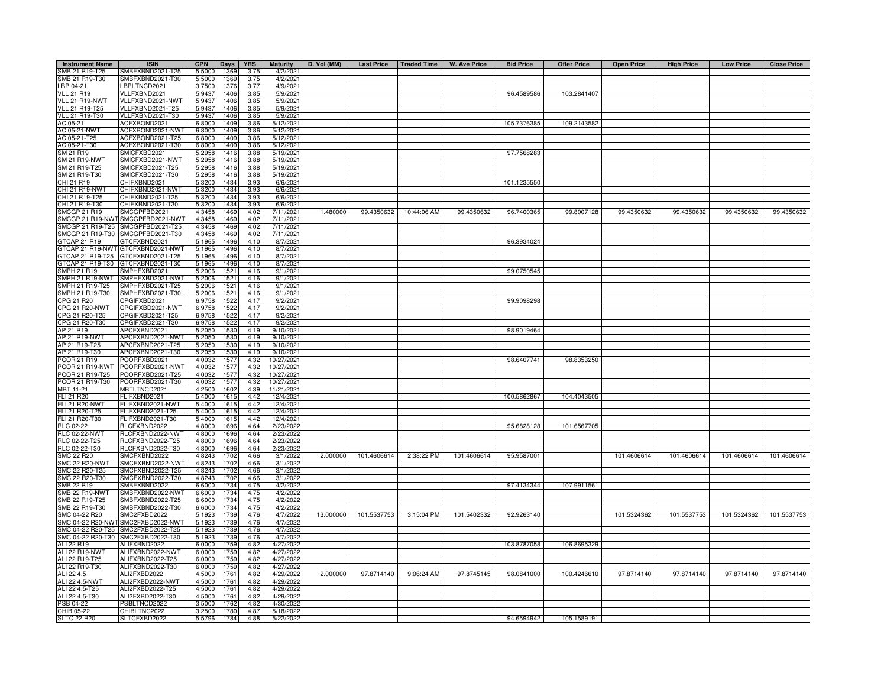| <b>Instrument Name</b>                  | <b>ISIN</b>                                        | <b>CPN</b>       | Days         | <b>YRS</b>   | <b>Maturity</b>          | D. Vol (MM) |             |                        | Last Price   Traded Time   W. Ave Price | <b>Bid Price</b> | <b>Offer Price</b> | <b>Open Price</b> | <b>High Price</b> | <b>Low Price</b> | <b>Close Price</b> |
|-----------------------------------------|----------------------------------------------------|------------------|--------------|--------------|--------------------------|-------------|-------------|------------------------|-----------------------------------------|------------------|--------------------|-------------------|-------------------|------------------|--------------------|
| SMB 21 R19-T25                          | SMBFXBND2021-T25                                   | 5.5000           | 1369         | 3.75         | 4/2/2021                 |             |             |                        |                                         |                  |                    |                   |                   |                  |                    |
| SMB 21 R19-T30                          | SMBFXBND2021-T30                                   | 5.5000           | 1369         | 3.75         | 4/2/202                  |             |             |                        |                                         |                  |                    |                   |                   |                  |                    |
| LBP 04-21                               | BPLTNCD2021                                        | 3.7500           | 1376         | 3.77         | 4/9/2021                 |             |             |                        |                                         |                  |                    |                   |                   |                  |                    |
| <b>VLL 21 R19</b>                       | VLLFXBND2021                                       | 5.9437           | 1406         | 3.85         | 5/9/2021                 |             |             |                        |                                         | 96.4589586       | 103.2841407        |                   |                   |                  |                    |
| VLL 21 R19-NWT                          | VLLFXBND2021-NWT                                   | 5.9437<br>5.9437 | 1406         | 3.85         | 5/9/202                  |             |             |                        |                                         |                  |                    |                   |                   |                  |                    |
| VLL 21 R19-T25<br><b>VLL 21 R19-T30</b> | VLLFXBND2021-T25<br>/LLFXBND2021-T30               | 5.9437           | 1406<br>1406 | 3.85<br>3.85 | 5/9/202<br>5/9/202       |             |             |                        |                                         |                  |                    |                   |                   |                  |                    |
| AC 05-21                                | ACFXBOND2021                                       | 6.8000           | 1409         | 3.86         | 5/12/2021                |             |             |                        |                                         | 105.7376385      | 109.2143582        |                   |                   |                  |                    |
| AC 05-21-NWT                            | ACFXBOND2021-NWT                                   | 6.8000           | 1409         | 3.86         | 5/12/202                 |             |             |                        |                                         |                  |                    |                   |                   |                  |                    |
| AC 05-21-T25                            | ACFXBOND2021-T25                                   | 6.8000           | 1409         | 3.86         | 5/12/2021                |             |             |                        |                                         |                  |                    |                   |                   |                  |                    |
| AC 05-21-T30                            | ACFXBOND2021-T30                                   | 6.8000           | 1409         | 3.86         | 5/12/2021                |             |             |                        |                                         |                  |                    |                   |                   |                  |                    |
| SM 21 R19                               | SMICFXBD2021                                       | 5.2958           | 1416         | 3.88         | 5/19/2021                |             |             |                        |                                         | 97.7568283       |                    |                   |                   |                  |                    |
| <b>SM 21 R19-NWT</b>                    | SMICFXBD2021-NWT                                   | 5.2958           | 1416         | 3.88         | 5/19/2021                |             |             |                        |                                         |                  |                    |                   |                   |                  |                    |
| SM 21 R19-T25                           | SMICFXBD2021-T25                                   | 5.2958           | 1416         | 3.88         | 5/19/2021                |             |             |                        |                                         |                  |                    |                   |                   |                  |                    |
| SM 21 R19-T30<br>CHI 21 R19             | SMICFXBD2021-T30<br>CHIFXBND2021                   | 5.2958<br>5.3200 | 1416<br>1434 | 3.88<br>3.93 | 5/19/202<br>6/6/202      |             |             |                        |                                         | 101.1235550      |                    |                   |                   |                  |                    |
| CHI 21 R19-NWT                          | CHIFXBND2021-NWT                                   | 5.3200           | 1434         | 3.93         | 6/6/202                  |             |             |                        |                                         |                  |                    |                   |                   |                  |                    |
| CHI 21 R19-T25                          | CHIFXBND2021-T25                                   | 5.3200           | 1434         | 3.93         | 6/6/202                  |             |             |                        |                                         |                  |                    |                   |                   |                  |                    |
| CHI 21 R19-T30                          | CHIFXBND2021-T30                                   | 5.3200           | 1434         | 3.93         | 6/6/202                  |             |             |                        |                                         |                  |                    |                   |                   |                  |                    |
| <b>SMCGP 21 R19</b>                     | SMCGPFBD2021                                       | 4.3458           | 1469         | 4.02         | 7/11/202                 | 1.480000    |             | 99.4350632 10:44:06 AM | 99.4350632                              | 96.7400365       | 99.8007128         | 99.4350632        | 99.4350632        | 99.4350632       | 99.4350632         |
| SMCGP 21 R19-NW                         | SMCGPFBD2021-NWT                                   | 4.3458           | 1469         | 4.02         | 7/11/202                 |             |             |                        |                                         |                  |                    |                   |                   |                  |                    |
| SMCGP 21 R19-T25                        | SMCGPFBD2021-T25                                   | 4.3458           | 1469         | 4.02         | 7/11/202                 |             |             |                        |                                         |                  |                    |                   |                   |                  |                    |
| SMCGP 21 R19-T30                        | SMCGPFBD2021-T30                                   | 4.3458           | 1469         | 4.02         | 7/11/202                 |             |             |                        |                                         |                  |                    |                   |                   |                  |                    |
| <b>GTCAP 21 R19</b><br>GTCAP 21 R19-NWT | GTCFXBND2021<br>GTCFXBND2021-NWT                   | 5.1965<br>5.1965 | 1496<br>1496 | 4.10<br>4.10 | 8/7/202<br>8/7/202       |             |             |                        |                                         | 96.3934024       |                    |                   |                   |                  |                    |
| GTCAP 21 R19-T25                        | GTCFXBND2021-T25                                   | 5.1965           | 1496         | 4.10         | 8/7/202                  |             |             |                        |                                         |                  |                    |                   |                   |                  |                    |
| GTCAP 21 R19-T30                        | GTCFXBND2021-T30                                   | 5.1965           | 1496         | 4.10         | 8/7/202                  |             |             |                        |                                         |                  |                    |                   |                   |                  |                    |
| SMPH 21 R19                             | MPHFXBD2021                                        | 5.2006           | 1521         | 4.16         | 9/1/202                  |             |             |                        |                                         | 99.0750545       |                    |                   |                   |                  |                    |
| SMPH 21 R19-NWT                         | MPHFXBD2021-NWT                                    | 5.2006           | 1521         | 4.16         | 9/1/202                  |             |             |                        |                                         |                  |                    |                   |                   |                  |                    |
| MPH 21 R19-T25                          | MPHFXBD2021-T25                                    | 5.2006           | 1521         | 4.16         | 9/1/202                  |             |             |                        |                                         |                  |                    |                   |                   |                  |                    |
| SMPH 21 R19-T30                         | MPHFXBD2021-T30                                    | 5.2006           | 1521         | 4.16         | 9/1/202                  |             |             |                        |                                         |                  |                    |                   |                   |                  |                    |
| CPG 21 R20<br>CPG 21 R20-NWT            | PGIFXBD2021<br>CPGIFXBD2021-NWT                    | 6.9758<br>6.9758 | 1522         | 4.17<br>4.17 | 9/2/2021                 |             |             |                        |                                         | 99.9098298       |                    |                   |                   |                  |                    |
| CPG 21 R20-T25                          | PGIFXBD2021-T25                                    | 6.9758           | 1522<br>1522 | 4.17         | 9/2/2021<br>9/2/202      |             |             |                        |                                         |                  |                    |                   |                   |                  |                    |
| CPG 21 R20-T30                          | CPGIFXBD2021-T30                                   | 6.9758           | 1522         | 4.17         | 9/2/2021                 |             |             |                        |                                         |                  |                    |                   |                   |                  |                    |
| AP 21 R19                               | APCFXBND2021                                       | 5.2050           | 1530         | 4.19         | 9/10/202                 |             |             |                        |                                         | 98.9019464       |                    |                   |                   |                  |                    |
| AP 21 R19-NWT                           | APCFXBND2021-NWT                                   | 5.2050           | 153          | 4.19         | 9/10/202                 |             |             |                        |                                         |                  |                    |                   |                   |                  |                    |
| AP 21 R19-T25                           | APCFXBND2021-T25                                   | 5.2050           | 1530         | 4.19         | 9/10/2021                |             |             |                        |                                         |                  |                    |                   |                   |                  |                    |
| AP 21 R19-T30                           | APCFXBND2021-T30                                   | 5.2050           | 1530         | 4.19         | 9/10/2021                |             |             |                        |                                         |                  |                    |                   |                   |                  |                    |
| PCOR 21 R19<br><b>PCOR 21 R19-NWT</b>   | PCORFXBD2021<br>PCORFXBD2021-NWT                   | 4.0032<br>4.0032 | 1577<br>157  | 4.32<br>4.32 | 10/27/2021<br>10/27/2021 |             |             |                        |                                         | 98.6407741       | 98.8353250         |                   |                   |                  |                    |
| PCOR 21 R19-T25                         | PCORFXBD2021-T25                                   | 4.0032           | 1577         | 4.32         | 10/27/2021               |             |             |                        |                                         |                  |                    |                   |                   |                  |                    |
| <b>COR 21 R19-T30</b>                   | PCORFXBD2021-T30                                   | 4.0032           | 157          | 4.32         | 10/27/2021               |             |             |                        |                                         |                  |                    |                   |                   |                  |                    |
| <b>JBT 11-21</b>                        | <b>MBTLTNCD2021</b>                                | 4.2500           | 1602         | 4.39         | 11/21/202                |             |             |                        |                                         |                  |                    |                   |                   |                  |                    |
| FLI 21 R20                              | FLIFXBND2021                                       | 5.4000           | 1615         | 4.42         | 12/4/2021                |             |             |                        |                                         | 100.5862867      | 104.4043505        |                   |                   |                  |                    |
| <b>FLI 21 R20-NWT</b>                   | FLIFXBND2021-NWT                                   | 5.4000           | 1615         | 4.42         | 12/4/2021                |             |             |                        |                                         |                  |                    |                   |                   |                  |                    |
| FLI 21 R20-T25                          | FLIFXBND2021-T25                                   | 5.4000           | 1615         | 442          | 12/4/2021                |             |             |                        |                                         |                  |                    |                   |                   |                  |                    |
| FLI 21 R20-T30<br>RLC 02-22             | -LIFXBND2021-T30<br>RLCFXBND2022                   | 5.4000<br>4.8000 | 161<br>1696  | 4.42<br>4.64 | 12/4/2021<br>2/23/202    |             |             |                        |                                         | 95.6828128       | 101.6567705        |                   |                   |                  |                    |
| <b>RLC 02-22-NWT</b>                    | RLCFXBND2022-NWT                                   | 4.8000           | 1696         | 4.64         | 2/23/202                 |             |             |                        |                                         |                  |                    |                   |                   |                  |                    |
| RLC 02-22-T25                           | RLCFXBND2022-T25                                   | 4.8000           | 1696         | 4.64         | 2/23/202                 |             |             |                        |                                         |                  |                    |                   |                   |                  |                    |
| RLC 02-22-T30                           | RLCFXBND2022-T30                                   | 4.8000           | 1696         | 4.64         | 2/23/2022                |             |             |                        |                                         |                  |                    |                   |                   |                  |                    |
| <b>SMC 22 R20</b>                       | SMCFXBND2022                                       | 4.8243           | 1702         | 4.66         | 3/1/2022                 | 2.000000    | 101.4606614 | 2:38:22 PM             | 101.4606614                             | 95.9587001       |                    | 101.4606614       | 101.4606614       | 101.4606614      | 101.4606614        |
| <b>SMC 22 R20-NWT</b>                   | SMCFXBND2022-NWT                                   | 4.8243           | 1702         | 4.66         | 3/1/202                  |             |             |                        |                                         |                  |                    |                   |                   |                  |                    |
| SMC 22 R20-T25                          | MCFXBND2022-T25                                    | 4.8243           | 1702         | 4.66         | 3/1/202                  |             |             |                        |                                         |                  |                    |                   |                   |                  |                    |
| SMC 22 R20-T30<br>SMB 22 R19            | MCFXBND2022-T30<br>MBFXBND2022                     | 4.8243<br>6.6000 | 1702<br>1734 | 4.66<br>4.75 | 3/1/202<br>4/2/202       |             |             |                        |                                         | 97.4134344       | 107.9911561        |                   |                   |                  |                    |
| SMB 22 R19-NWT                          | MBFXBND2022-NWT                                    | 6,6000           | 1734         | 4.75         | 4/2/202                  |             |             |                        |                                         |                  |                    |                   |                   |                  |                    |
| SMB 22 R19-T25                          | MBFXBND2022-T25                                    | 6.6000           | 1734         | 4.75         | 4/2/202                  |             |             |                        |                                         |                  |                    |                   |                   |                  |                    |
| SMB 22 R19-T30                          | MBFXBND2022-T30                                    | 6.6000           | 1734         | 4.75         | 4/2/2022                 |             |             |                        |                                         |                  |                    |                   |                   |                  |                    |
| SMC 04-22 R20                           | SMC2FXBD2022                                       | 5.1923           | 1739         | 4.76         | 4/7/2022                 | 13.000000   | 101.5537753 | 3:15:04 PM             | 101.5402332                             | 92.9263140       |                    | 101.5324362       | 101.5537753       | 101.5324362      | 101.5537753        |
| SMC 04-22 R20-NWT                       | SMC2FXBD2022-NWT                                   | 5.1923           | 1739         | 4.76         | 4/7/2022                 |             |             |                        |                                         |                  |                    |                   |                   |                  |                    |
|                                         | SMC 04-22 R20-T25 SMC2FXBD2022-T25                 | 5.1923           | 1739         | 4.76         | 4/7/2022                 |             |             |                        |                                         |                  |                    |                   |                   |                  |                    |
| ALI 22 R19                              | SMC 04-22 R20-T30 SMC2FXBD2022-T30<br>ALIFXBND2022 | 5.1923<br>6.0000 | 1739<br>1759 | 4.76<br>4.82 | 4/7/2022<br>4/27/2022    |             |             |                        |                                         | 103.8787058      | 106.8695329        |                   |                   |                  |                    |
| ALI 22 R19-NWT                          | ALIFXBND2022-NWT                                   | 6.0000           | 1759         | 4.82         | 4/27/2022                |             |             |                        |                                         |                  |                    |                   |                   |                  |                    |
| ALI 22 R19-T25                          | ALIFXBND2022-T25                                   | 6.0000           | 1759         | 4.82         | 4/27/2022                |             |             |                        |                                         |                  |                    |                   |                   |                  |                    |
| ALI 22 R19-T30                          | ALIFXBND2022-T30                                   | 6.0000           | 1759         | 4.82         | 4/27/2022                |             |             |                        |                                         |                  |                    |                   |                   |                  |                    |
| ALI 22 4.5                              | ALI2FXBD2022                                       | 4.5000           | 1761         | 4.82         | 4/29/2022                | 2.000000    | 97.8714140  | 9:06:24 AM             | 97.8745145                              | 98.0841000       | 100.4246610        | 97.8714140        | 97.8714140        | 97.8714140       | 97.8714140         |
| ALI 22 4.5-NWT                          | ALI2FXBD2022-NWT                                   | 4.5000           | 1761         | 4.82         | 4/29/202                 |             |             |                        |                                         |                  |                    |                   |                   |                  |                    |
| ALI 22 4.5-T25<br>ALI 22 4.5-T30        | ALI2FXBD2022-T25<br>ALI2FXBD2022-T30               | 4.5000<br>4.5000 | 1761<br>1761 | 4.82<br>4.82 | 4/29/2022<br>4/29/202    |             |             |                        |                                         |                  |                    |                   |                   |                  |                    |
| PSB 04-22                               | PSBLTNCD2022                                       | 3.5000           | 1762         | 4.82         | 4/30/2022                |             |             |                        |                                         |                  |                    |                   |                   |                  |                    |
| CHIB 05-22                              | CHIBLTNC2022                                       | 3.2500           | 1780         | 4.8          | 5/18/202                 |             |             |                        |                                         |                  |                    |                   |                   |                  |                    |
| <b>SLTC 22 R20</b>                      | SLTCFXBD2022                                       | 5.5796           | 1784         | 4.88         | 5/22/2022                |             |             |                        |                                         | 94.6594942       | 105.1589191        |                   |                   |                  |                    |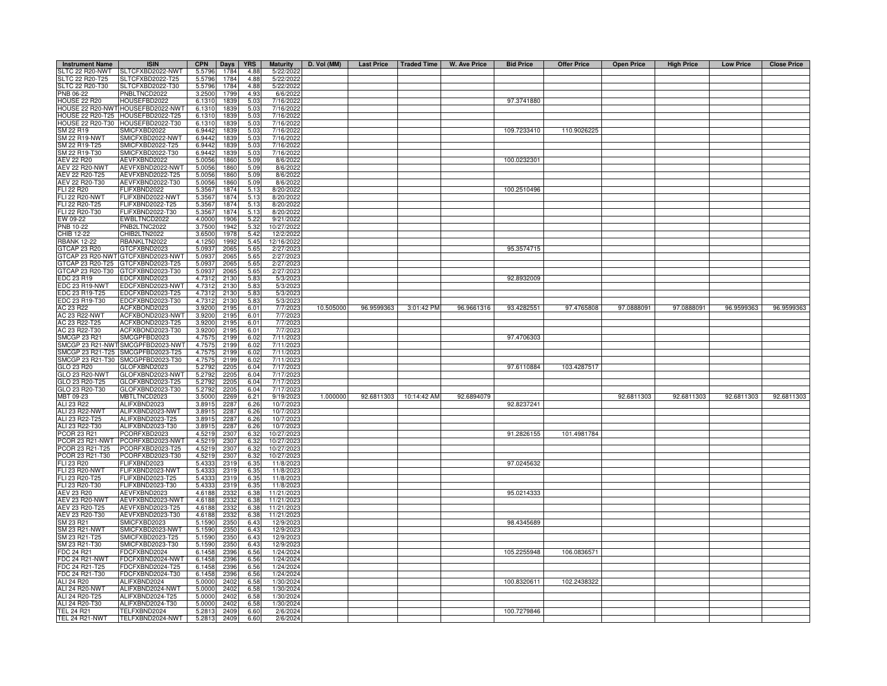| <b>Instrument Name</b>  | <b>ISIN</b>                       | <b>CPN</b>        | Days | <b>YRS</b> | <b>Maturity</b> | D. Vol (MM) | Last Price   Traded Time |             | W. Ave Price | <b>Bid Price</b> | <b>Offer Price</b> | <b>Open Price</b> | <b>High Price</b> | <b>Low Price</b> | <b>Close Price</b> |
|-------------------------|-----------------------------------|-------------------|------|------------|-----------------|-------------|--------------------------|-------------|--------------|------------------|--------------------|-------------------|-------------------|------------------|--------------------|
| SLTC 22 R20-NWT         | SLTCFXBD2022-NWT                  | 5.5796            | 1784 | 4.88       | 5/22/2022       |             |                          |             |              |                  |                    |                   |                   |                  |                    |
| SLTC 22 R20-T25         | SLTCFXBD2022-T25                  | 5.5796            | 1784 | 4.88       | 5/22/2022       |             |                          |             |              |                  |                    |                   |                   |                  |                    |
| SLTC 22 R20-T30         | SLTCFXBD2022-T30                  | 5.5796            | 1784 | 4.88       | 5/22/2022       |             |                          |             |              |                  |                    |                   |                   |                  |                    |
| PNB 06-22               | PNBLTNCD2022                      | 3.2500            | 1799 | 4.93       | 6/6/2022        |             |                          |             |              |                  |                    |                   |                   |                  |                    |
| <b>HOUSE 22 R20</b>     | HOUSEFBD2022                      | 6.1310            | 1839 | 5.03       | 7/16/2022       |             |                          |             |              | 97.3741880       |                    |                   |                   |                  |                    |
| HOUSE 22 R20-NWT        | HOUSEFBD2022-NWT                  | 6.1310            | 1839 | 5.03       | 7/16/2022       |             |                          |             |              |                  |                    |                   |                   |                  |                    |
| <b>HOUSE 22 R20-T25</b> | HOUSEFBD2022-T25                  | 6.1310            | 1839 | 5.03       | 7/16/2022       |             |                          |             |              |                  |                    |                   |                   |                  |                    |
| <b>HOUSE 22 R20-T30</b> | HOUSEFBD2022-T30                  | 6.1310            | 1839 | 5.03       | 7/16/2022       |             |                          |             |              |                  |                    |                   |                   |                  |                    |
| SM 22 R19               | SMICFXBD2022                      | 6.9442            | 183  | 5.03       | 7/16/202        |             |                          |             |              | 109.7233410      | 110.9026225        |                   |                   |                  |                    |
| <b>SM 22 R19-NWT</b>    | SMICFXBD2022-NWT                  | 6.9442            | 1839 | 5.03       | 7/16/2022       |             |                          |             |              |                  |                    |                   |                   |                  |                    |
| SM 22 R19-T25           | SMICFXBD2022-T25                  | 6.9442            | 1839 | 5.03       | 7/16/2022       |             |                          |             |              |                  |                    |                   |                   |                  |                    |
| SM 22 R19-T30           | SMICFXBD2022-T30                  | 6.9442            | 1839 | 5.03       | 7/16/2022       |             |                          |             |              |                  |                    |                   |                   |                  |                    |
| AEV 22 R20              | AEVFXBND2022                      | 5.005             | 1860 | 5.09       | 8/6/2022        |             |                          |             |              | 100.0232301      |                    |                   |                   |                  |                    |
| AEV 22 R20-NWT          | AEVFXBND2022-NWT                  | 5.005             | 1860 | 5.09       | 8/6/2022        |             |                          |             |              |                  |                    |                   |                   |                  |                    |
| AEV 22 R20-T25          | AEVFXBND2022-T25                  | 5.005             | 1860 | 5.09       | 8/6/2022        |             |                          |             |              |                  |                    |                   |                   |                  |                    |
| AEV 22 R20-T30          | AEVFXBND2022-T30                  | 5.005             | 1860 | 5.09       | 8/6/2022        |             |                          |             |              |                  |                    |                   |                   |                  |                    |
| <b>ELI 22 R20</b>       | FLIFXBND2022                      | 5.356             | 1874 | 5.13       | 8/20/2022       |             |                          |             |              | 100.2510496      |                    |                   |                   |                  |                    |
| <b>FLI 22 R20-NWT</b>   | FLIFXBND2022-NWT                  | 5.356             | 1874 | 5.13       | 8/20/2022       |             |                          |             |              |                  |                    |                   |                   |                  |                    |
| FLI 22 R20-T25          | FLIFXBND2022-T25                  | 5.356             | 1874 | 5.13       | 8/20/2022       |             |                          |             |              |                  |                    |                   |                   |                  |                    |
| FLI 22 R20-T30          | FLIFXBND2022-T30                  | 5.356             | 1874 | 5.13       | 8/20/2022       |             |                          |             |              |                  |                    |                   |                   |                  |                    |
| EW 09-22                | EWBLTNCD2022                      | 4.0000            | 1906 | 5.22       | 9/21/2022       |             |                          |             |              |                  |                    |                   |                   |                  |                    |
| PNB 10-22               | PNB2LTNC2022                      | 3.7500            | 1942 | 5.32       | 10/27/202       |             |                          |             |              |                  |                    |                   |                   |                  |                    |
| CHIB 12-22              | CHIB2LTN2022                      | 3.6500            | 1978 | 5.42       | 12/2/2022       |             |                          |             |              |                  |                    |                   |                   |                  |                    |
| <b>RBANK 12-22</b>      | RBANKLTN2022                      | 4.1250            | 1992 | 5.45       | 12/16/2022      |             |                          |             |              |                  |                    |                   |                   |                  |                    |
| GTCAP 23 R20            | GTCFXBND2023                      | 5.0937            | 2065 | 5.65       | 2/27/2023       |             |                          |             |              | 95.3574715       |                    |                   |                   |                  |                    |
|                         | GTCAP 23 R20-NWT GTCFXBND2023-NWT | 5.0937            | 2065 | 5.65       | 2/27/2023       |             |                          |             |              |                  |                    |                   |                   |                  |                    |
| GTCAP 23 R20-T25        | GTCFXBND2023-T25                  | 5.093             | 2065 | 5.65       | 2/27/2023       |             |                          |             |              |                  |                    |                   |                   |                  |                    |
| GTCAP 23 R20-T30        | GTCFXBND2023-T30                  | 5.093             | 2065 | 5.65       | 2/27/2023       |             |                          |             |              |                  |                    |                   |                   |                  |                    |
| EDC 23 R19              | EDCFXBND2023                      | 4.731             | 2130 | 5.83       | 5/3/202         |             |                          |             |              | 92.8932009       |                    |                   |                   |                  |                    |
| EDC 23 R19-NWT          | EDCFXBND2023-NWT                  | 4.7312            | 2130 | 5.83       | 5/3/2023        |             |                          |             |              |                  |                    |                   |                   |                  |                    |
| EDC 23 R19-T25          | EDCFXBND2023-T25                  | 4.7312            | 2130 | 5.83       | 5/3/2023        |             |                          |             |              |                  |                    |                   |                   |                  |                    |
| EDC 23 R19-T30          | EDCFXBND2023-T30                  | 4.73 <sup>1</sup> | 2130 | 5.83       | 5/3/2023        |             |                          |             |              |                  |                    |                   |                   |                  |                    |
| AC 23 R22               | ACFXBOND2023                      | 3.920             | 2195 | 6.01       | 7/7/2023        | 10.505000   | 96.9599363               | 3:01:42 PM  | 96.9661316   | 93.4282551       | 97.4765808         | 97.0888091        | 97.0888091        | 96.9599363       | 96.9599363         |
| AC 23 R22-NWT           | ACFXBOND2023-NWT                  | 3.920             | 219  | 6.01       | 7/7/202         |             |                          |             |              |                  |                    |                   |                   |                  |                    |
| AC 23 R22-T25           | ACFXBOND2023-T25                  | 3.9200            | 2195 | 6.01       | 7/7/202         |             |                          |             |              |                  |                    |                   |                   |                  |                    |
| AC 23 R22-T30           | ACFXBOND2023-T30                  | 3.9200            | 2195 | 6.01       | 7/7/202         |             |                          |             |              |                  |                    |                   |                   |                  |                    |
| SMCGP 23 R21            | SMCGPFBD2023                      | 4.757             | 219  | 6.02       | 7/11/202        |             |                          |             |              | 97.4706303       |                    |                   |                   |                  |                    |
| SMCGP 23 R21-NWT        | SMCGPFBD2023-NWT                  | 4.757             | 2199 | 6.02       | 7/11/2023       |             |                          |             |              |                  |                    |                   |                   |                  |                    |
| SMCGP 23 R21-T25        | SMCGPFBD2023-T25                  | 4.757             | 2199 | 6.02       | 7/11/2023       |             |                          |             |              |                  |                    |                   |                   |                  |                    |
| MCGP 23 R21-T30         | SMCGPFBD2023-T30                  | 4.757             | 2199 | 6.02       | 7/11/2023       |             |                          |             |              |                  |                    |                   |                   |                  |                    |
| <b>GLO 23 R20</b>       | GLOFXBND2023                      | 5.279             | 2205 | 6.04       | 7/17/2023       |             |                          |             |              | 97.6110884       | 103.4287517        |                   |                   |                  |                    |
| <b>GLO 23 R20-NWT</b>   | GLOFXBND2023-NWT                  | 5.279             | 2205 | 6.04       | 7/17/2023       |             |                          |             |              |                  |                    |                   |                   |                  |                    |
| GLO 23 R20-T25          | GLOFXBND2023-T25                  | 5.279             | 2205 | 6.04       | 7/17/202        |             |                          |             |              |                  |                    |                   |                   |                  |                    |
| GLO 23 R20-T30          | GLOFXBND2023-T30                  | 5.279             | 220  | 6.04       | 7/17/2023       |             |                          |             |              |                  |                    |                   |                   |                  |                    |
| MBT 09-23               | MBTLTNCD2023                      | 3.500             | 2269 | 6.21       | 9/19/2023       | 1.000000    | 92.6811303               | 10:14:42 AM | 92.6894079   |                  |                    | 92.6811303        | 92.6811303        | 92.6811303       | 92.6811303         |
| ALI 23 R22              | ALIFXBND2023                      | 3.891             | 2287 | 6.26       | 10/7/2023       |             |                          |             |              | 92.8237241       |                    |                   |                   |                  |                    |
| <b>ALI 23 R22-NWT</b>   | ALIFXBND2023-NWT                  | 3.891             | 2287 | 6.26       | 10/7/2023       |             |                          |             |              |                  |                    |                   |                   |                  |                    |
| ALI 23 R22-T25          | ALIFXBND2023-T25                  | 3.891             | 2287 | 6.26       | 10/7/2023       |             |                          |             |              |                  |                    |                   |                   |                  |                    |
| ALI 23 R22-T30          | ALIFXBND2023-T30                  | 3.891             | 2287 | 6.26       | 10/7/202        |             |                          |             |              |                  |                    |                   |                   |                  |                    |
| PCOR 23 R21             | PCORFXBD2023                      | 4.5219            | 2307 | 6.32       | 10/27/2023      |             |                          |             |              | 91.2826155       | 101.4981784        |                   |                   |                  |                    |
| PCOR 23 R21-NWT         | PCORFXBD2023-NWT                  | 4.5219            | 2307 | 6.32       | 10/27/2023      |             |                          |             |              |                  |                    |                   |                   |                  |                    |
| PCOR 23 R21-T25         | PCORFXBD2023-T25                  | 4.5219            | 2307 | 6.32       | 10/27/2023      |             |                          |             |              |                  |                    |                   |                   |                  |                    |
| PCOR 23 R21-T30         | PCORFXBD2023-T30                  | 4.5219            | 2307 | 6.32       | 10/27/2023      |             |                          |             |              |                  |                    |                   |                   |                  |                    |
| <b>FLI 23 R20</b>       | FLIFXBND2023                      | 5.433             | 2319 | 6.35       | 11/8/2023       |             |                          |             |              | 97.0245632       |                    |                   |                   |                  |                    |
| <b>FLI 23 R20-NWT</b>   | FLIFXBND2023-NWT                  | 5.4333            | 2319 | 6.35       | 11/8/202        |             |                          |             |              |                  |                    |                   |                   |                  |                    |
| FLI 23 R20-T25          | FLIFXBND2023-T25                  | 5.4333            | 2319 | 6.35       | 11/8/202        |             |                          |             |              |                  |                    |                   |                   |                  |                    |
| FLI 23 R20-T30          | FLIFXBND2023-T30                  | 5.433             | 2319 | 6.35       | 11/8/202        |             |                          |             |              |                  |                    |                   |                   |                  |                    |
| AEV 23 R20              | AEVFXBND2023                      | 4.6188            | 2332 | 6.38       | 11/21/2023      |             |                          |             |              | 95.0214333       |                    |                   |                   |                  |                    |
| <b>AEV 23 R20-NWT</b>   | AEVFXBND2023-NWT                  | 4.6188            | 2332 | 6.38       | 11/21/2023      |             |                          |             |              |                  |                    |                   |                   |                  |                    |
| AEV 23 R20-T25          | AEVFXBND2023-T25                  | 4.6188            | 2332 | 6.38       | 11/21/2023      |             |                          |             |              |                  |                    |                   |                   |                  |                    |
| AEV 23 R20-T30          | AEVFXBND2023-T30                  | 4.6188            | 2332 | 6.38       | 11/21/2023      |             |                          |             |              |                  |                    |                   |                   |                  |                    |
| SM 23 R21               | SMICFXBD2023                      | 5.1590            | 235  | 6.43       | 12/9/202        |             |                          |             |              | 98.4345689       |                    |                   |                   |                  |                    |
| SM 23 R21-NWT           | SMICFXBD2023-NWT                  | 5.1590            | 2350 | 6.43       | 12/9/2023       |             |                          |             |              |                  |                    |                   |                   |                  |                    |
| SM 23 R21-T25           | SMICFXBD2023-T25                  | 5.1590            | 2350 | 6.43       | 12/9/2023       |             |                          |             |              |                  |                    |                   |                   |                  |                    |
| SM 23 R21-T30           | SMICFXBD2023-T30                  | 5.1590            | 2350 | 6.43       | 12/9/2023       |             |                          |             |              |                  |                    |                   |                   |                  |                    |
| FDC 24 R21              | FDCFXBND2024                      | 6.1458            | 2396 | 6.56       | 1/24/2024       |             |                          |             |              | 105.2255948      | 106.0836571        |                   |                   |                  |                    |
| <b>FDC 24 R21-NWT</b>   | FDCFXBND2024-NWT                  | 6.1458            | 2396 | 6.56       | 1/24/2024       |             |                          |             |              |                  |                    |                   |                   |                  |                    |
| FDC 24 R21-T25          | FDCFXBND2024-T25                  | 6.1458            | 2396 | 6.56       | 1/24/2024       |             |                          |             |              |                  |                    |                   |                   |                  |                    |
| FDC 24 R21-T30          | FDCFXBND2024-T30                  | 6.145             | 2396 | 6.56       | 1/24/2024       |             |                          |             |              |                  |                    |                   |                   |                  |                    |
| ALI 24 R20              | ALIFXBND2024                      | 5.0000            | 2402 | 6.58       | 1/30/2024       |             |                          |             |              | 100.8320611      | 102.2438322        |                   |                   |                  |                    |
| <b>ALI 24 R20-NWT</b>   | ALIFXBND2024-NWT                  | 5.0000            | 2402 | 6.58       | 1/30/2024       |             |                          |             |              |                  |                    |                   |                   |                  |                    |
| ALI 24 R20-T25          | ALIFXBND2024-T25                  | 5.000             | 2402 | 6.58       | 1/30/2024       |             |                          |             |              |                  |                    |                   |                   |                  |                    |
| ALI 24 R20-T30          | ALIFXBND2024-T30                  | 5.000             | 2402 | 6.58       | 1/30/2024       |             |                          |             |              |                  |                    |                   |                   |                  |                    |
| <b>TEL 24 R21</b>       | TELFXBND2024                      | $5.28^{\circ}$    | 2409 | 6.60       | 2/6/2024        |             |                          |             |              | 100.7279846      |                    |                   |                   |                  |                    |
| <b>TEL 24 R21-NWT</b>   | TELFXBND2024-NWT                  | 5.2813            | 2409 | 6.60       | 2/6/2024        |             |                          |             |              |                  |                    |                   |                   |                  |                    |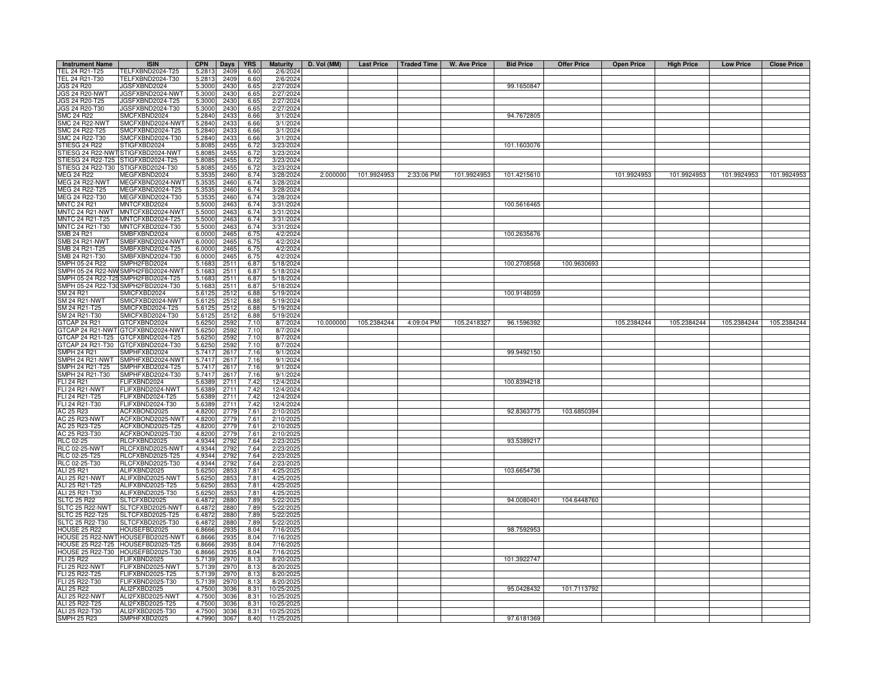| <b>Instrument Name</b>                       | <b>ISIN</b>                          | <b>CPN</b>       | Days         | <b>YRS</b>    | <b>Maturity</b>      | D. Vol (MM) |             |            | Last Price   Traded Time   W. Ave Price | <b>Bid Price</b> | <b>Offer Price</b> | <b>Open Price</b> | <b>High Price</b> | <b>Low Price</b> | <b>Close Price</b> |
|----------------------------------------------|--------------------------------------|------------------|--------------|---------------|----------------------|-------------|-------------|------------|-----------------------------------------|------------------|--------------------|-------------------|-------------------|------------------|--------------------|
| TEL 24 R21-T25                               | TELFXBND2024-T25                     | 5.2813           | 2409         | 6.60          | 2/6/2024             |             |             |            |                                         |                  |                    |                   |                   |                  |                    |
| TEL 24 R21-T30                               | TELFXBND2024-T30                     | 5.2813           | 2409         | 6.60          | 2/6/2024             |             |             |            |                                         |                  |                    |                   |                   |                  |                    |
| JGS 24 R20                                   | <b>JGSFXBND2024</b>                  | 5.3000           | 2430         | 6.65          | 2/27/2024            |             |             |            |                                         | 99.1650847       |                    |                   |                   |                  |                    |
| <b>JGS 24 R20-NWT</b>                        | JGSFXBND2024-NWT                     | 5.3000           | 2430         | 6.65          | 2/27/2024            |             |             |            |                                         |                  |                    |                   |                   |                  |                    |
| JGS 24 R20-T25                               | JGSFXBND2024-T25                     | 5.3000           | 2430         | 6.65          | 2/27/2024            |             |             |            |                                         |                  |                    |                   |                   |                  |                    |
| JGS 24 R20-T30                               | JGSFXBND2024-T30                     | 5.3000           | 2430         | 6.65          | 2/27/2024            |             |             |            |                                         |                  |                    |                   |                   |                  |                    |
| SMC 24 R22                                   | SMCFXBND2024                         | 5.2840           | 243          | 6.66          | 3/1/2024             |             |             |            |                                         | 94.7672805       |                    |                   |                   |                  |                    |
| <b>SMC 24 R22-NWT</b>                        | SMCFXBND2024-NWT                     | 5.2840           | 2433         | 6.66          | 3/1/2024             |             |             |            |                                         |                  |                    |                   |                   |                  |                    |
| SMC 24 R22-T25                               | SMCFXBND2024-T25                     | 5.2840           | 2433         | 6.66          | 3/1/202              |             |             |            |                                         |                  |                    |                   |                   |                  |                    |
| SMC 24 R22-T30                               | SMCFXBND2024-T30                     | 5.2840           | 243          | 6.66          | 3/1/2024             |             |             |            |                                         |                  |                    |                   |                   |                  |                    |
| TIESG 24 R22                                 | TIGFXBD2024                          | 5.8085           | 2455         | 6.72          | 3/23/2024            |             |             |            |                                         | 101.1603076      |                    |                   |                   |                  |                    |
| TIESG 24 R22-NW                              | TIGFXBD2024-NWT                      | 5.8085           | 245          | 6.72          | 3/23/2024            |             |             |            |                                         |                  |                    |                   |                   |                  |                    |
|                                              | STIESG 24 R22-T25 STIGFXBD2024-T25   | 5.8085           | 2455         | 6.72          | 3/23/2024            |             |             |            |                                         |                  |                    |                   |                   |                  |                    |
|                                              | STIESG 24 R22-T30 STIGFXBD2024-T30   | 5.8085           | 2455         | 6.72          | 3/23/2024            |             |             |            |                                         |                  |                    |                   |                   |                  |                    |
| MEG 24 R22                                   | MEGFXBND2024                         | 5.3535           | 2460         | 6.74          | 3/28/2024            | 2.000000    | 101.9924953 | 2:33:06 PM | 101.9924953                             | 101.4215610      |                    | 101.9924953       | 101.9924953       | 101.9924953      | 101.9924953        |
| <b>MEG 24 R22-NWT</b>                        | MEGFXBND2024-NWT                     | 5.3535           | 2460         | 6.74          | 3/28/2024            |             |             |            |                                         |                  |                    |                   |                   |                  |                    |
| MEG 24 R22-T25                               | MEGFXBND2024-T25                     | 5.3535           | 2460         | 6.74          | 3/28/2024            |             |             |            |                                         |                  |                    |                   |                   |                  |                    |
| MEG 24 R22-T30                               | MEGFXBND2024-T30                     | 5.3535           | 2460         | 6.74          | 3/28/2024            |             |             |            |                                         |                  |                    |                   |                   |                  |                    |
| <b>MNTC 24 R21</b><br><b>MNTC 24 R21-NWT</b> | MNTCFXBD2024<br>MNTCFXBD2024-NWT     | 5.5000           | 246          | 6.74          | 3/31/2024            |             |             |            |                                         | 100.5616465      |                    |                   |                   |                  |                    |
| MNTC 24 R21-T25                              | MNTCFXBD2024-T25                     | 5.5000           | 2463         | 6.74          | 3/31/2024            |             |             |            |                                         |                  |                    |                   |                   |                  |                    |
| MNTC 24 R21-T30                              | MNTCFXBD2024-T30                     | 5.5000           | 2463<br>2463 | 6.74          | 3/31/2024            |             |             |            |                                         |                  |                    |                   |                   |                  |                    |
| SMB 24 R21                                   | SMBFXBND2024                         | 5.5000<br>6.0000 | 2465         | 6.74<br>6.75  | 3/31/2024<br>4/2/202 |             |             |            |                                         | 100.2635676      |                    |                   |                   |                  |                    |
| SMB 24 R21-NWT                               | SMBFXBND2024-NWT                     | 6.0000           | 2465         |               | 4/2/2024             |             |             |            |                                         |                  |                    |                   |                   |                  |                    |
| SMB 24 R21-T25                               | SMBFXBND2024-T25                     | 6.0000           | 2465         | 6.75<br>6.75  | 4/2/2024             |             |             |            |                                         |                  |                    |                   |                   |                  |                    |
| SMB 24 R21-T30                               | SMBFXBND2024-T30                     | 6.0000           | 2465         | 6.75          | 4/2/202              |             |             |            |                                         |                  |                    |                   |                   |                  |                    |
| SMPH 05-24 R22                               | SMPH2FBD2024                         | 5.1683           | 2511         | 6.87          | 5/18/202             |             |             |            |                                         | 100.2708568      | 100.9630693        |                   |                   |                  |                    |
| SMPH 05-24 R22-NW                            | SMPH2FBD2024-NWT                     | 5.1683           | 2511         | 6.87          | 5/18/2024            |             |             |            |                                         |                  |                    |                   |                   |                  |                    |
| SMPH 05-24 R22-T2                            | MPH2FBD2024-T25                      | 5.1683           | 2511         | 6.87          | 5/18/202             |             |             |            |                                         |                  |                    |                   |                   |                  |                    |
| SMPH 05-24 R22-T30                           | MPH2FBD2024-T30                      | 5.1683           | 2511         | 6.87          | 5/18/2024            |             |             |            |                                         |                  |                    |                   |                   |                  |                    |
| SM 24 R21                                    | MICFXBD2024                          | 5.6125           | 2512         | 6.88          | 5/19/2024            |             |             |            |                                         | 100.9148059      |                    |                   |                   |                  |                    |
| SM 24 R21-NWT                                | MICFXBD2024-NWT                      | 5.612            | 2512         | 6.88          | 5/19/2024            |             |             |            |                                         |                  |                    |                   |                   |                  |                    |
| SM 24 R21-T25                                | MICFXBD2024-T25                      | 5.6125           | 2512         | 6.88          | 5/19/2024            |             |             |            |                                         |                  |                    |                   |                   |                  |                    |
| SM 24 R21-T30                                | MICFXBD2024-T30                      | 5.6125           | 2512         | 6.88          | 5/19/2024            |             |             |            |                                         |                  |                    |                   |                   |                  |                    |
| <b>GTCAP 24 R21</b>                          | <b>STCFXBND2024</b>                  | 5.6250           | 2592         | 7.10          | 8/7/2024             | 10.000000   | 105.2384244 | 4:09:04 PM | 105.2418327                             | 96.1596392       |                    | 105.2384244       | 105.2384244       | 105.2384244      | 105.2384244        |
| GTCAP 24 R21-NWT                             | GTCFXBND2024-NWT                     | 5.6250           | 2592         | 7.10          | 8/7/2024             |             |             |            |                                         |                  |                    |                   |                   |                  |                    |
| GTCAP 24 R21-T25                             | TCFXBND2024-T25                      | 5.6250           | 2592         | 7.10          | 8/7/202              |             |             |            |                                         |                  |                    |                   |                   |                  |                    |
| GTCAP 24 R21-T30                             | GTCFXBND2024-T30                     | 5.6250           | 2592         | 7.10          | 8/7/2024             |             |             |            |                                         |                  |                    |                   |                   |                  |                    |
| SMPH 24 R21                                  | MPHFXBD2024                          | 5.7417           | 2617         | 7.16          | 9/1/2024             |             |             |            |                                         | 99.9492150       |                    |                   |                   |                  |                    |
| SMPH 24 R21-NWT                              | SMPHFXBD2024-NWT                     | 5.7417           | 261          | 7.16          | 9/1/2024             |             |             |            |                                         |                  |                    |                   |                   |                  |                    |
| SMPH 24 R21-T25                              | SMPHFXBD2024-T25                     | 5.7417           | 261          | 7.16          | 9/1/2024             |             |             |            |                                         |                  |                    |                   |                   |                  |                    |
| SMPH 24 R21-T30                              | SMPHFXBD2024-T30                     | 5.7417           | 2617         | 7.16          | 9/1/2024             |             |             |            |                                         |                  |                    |                   |                   |                  |                    |
| FLI 24 R21                                   | <b>LIFXBND2024</b>                   | 5.6389           | 2711         | 7.42          | 12/4/2024            |             |             |            |                                         | 100.8394218      |                    |                   |                   |                  |                    |
| FLI 24 R21-NWT                               | <b>ELIFXBND2024-NWT</b>              | 5.6389           | 2711         | 7.42          | 12/4/2024            |             |             |            |                                         |                  |                    |                   |                   |                  |                    |
| FLI 24 R21-T25                               | FLIFXBND2024-T25                     | 5.6389           | 2711         | 7.42          | 12/4/2024            |             |             |            |                                         |                  |                    |                   |                   |                  |                    |
| FLI 24 R21-T30                               | FLIFXBND2024-T30                     | 5.6389           | 2711         | 7.42          | 12/4/2024            |             |             |            |                                         |                  |                    |                   |                   |                  |                    |
| AC 25 R23                                    | ACFXBOND2025                         | 4.8200           | 2779         | 7.61          | 2/10/202             |             |             |            |                                         | 92.8363775       | 103.6850394        |                   |                   |                  |                    |
| AC 25 R23-NWT                                | ACFXBOND2025-NWT                     | 4.8200           | 2779         | 7.61          | 2/10/202             |             |             |            |                                         |                  |                    |                   |                   |                  |                    |
| AC 25 R23-T25                                | ACFXBOND2025-T25                     | 4.8200           | 2779         | 7.61          | 2/10/202             |             |             |            |                                         |                  |                    |                   |                   |                  |                    |
| AC 25 R23-T30                                | ACFXBOND2025-T30                     | 4.8200           | 2779         | 7.61          | 2/10/202             |             |             |            |                                         |                  |                    |                   |                   |                  |                    |
| RLC 02-25                                    | RLCFXBND2025                         | 4.9344           | 2792         | 7.64          | 2/23/202             |             |             |            |                                         | 93.5389217       |                    |                   |                   |                  |                    |
| <b>RLC 02-25-NWT</b>                         | RLCFXBND2025-NWT                     | 4.9344           | 2792         | 7.64          | 2/23/202             |             |             |            |                                         |                  |                    |                   |                   |                  |                    |
| RLC 02-25-T25<br>RLC 02-25-T30               | RLCFXBND2025-T25<br>RLCFXBND2025-T30 | 4.9344           | 2792         | 7.64<br>7.64  | 2/23/202             |             |             |            |                                         |                  |                    |                   |                   |                  |                    |
| ALI 25 R21                                   | ALIFXBND2025                         | 4.9344<br>5.6250 | 2792<br>285  | 7.81          | 2/23/202<br>4/25/202 |             |             |            |                                         | 103.6654736      |                    |                   |                   |                  |                    |
| <b>ALI 25 R21-NWT</b>                        | ALIFXBND2025-NWT                     | 5.6250           | 285          | 7.81          | 4/25/202             |             |             |            |                                         |                  |                    |                   |                   |                  |                    |
| ALI 25 R21-T25                               | ALIFXBND2025-T25                     | 5.6250           | 285          | 7.81          | 4/25/202             |             |             |            |                                         |                  |                    |                   |                   |                  |                    |
| ALI 25 R21-T30                               | ALIFXBND2025-T30                     | 5.6250           | 285          | 7.81          | 4/25/202             |             |             |            |                                         |                  |                    |                   |                   |                  |                    |
| <b>SLTC 25 R22</b>                           | SLTCFXBD2025                         | 6.4872           | 2880         | 7.89          | 5/22/202             |             |             |            |                                         | 94.0080401       | 104.6448760        |                   |                   |                  |                    |
| SLTC 25 R22-NWT                              | SLTCFXBD2025-NWT                     | 6.4872           | 2880         | 7.89          | 5/22/202             |             |             |            |                                         |                  |                    |                   |                   |                  |                    |
| SLTC 25 R22-T25                              | SLTCFXBD2025-T25                     | 6.4872           | 2880         | 7.89          | 5/22/202             |             |             |            |                                         |                  |                    |                   |                   |                  |                    |
| <b>SLTC 25 R22-T30</b>                       | SLTCFXBD2025-T30                     | 6.4872           | 2880         | 7.89          | 5/22/202             |             |             |            |                                         |                  |                    |                   |                   |                  |                    |
| <b>HOUSE 25 R22</b>                          | HOUSEFBD2025                         | 6.8666           | 2935         | 8.04          | 7/16/2025            |             |             |            |                                         | 98.7592953       |                    |                   |                   |                  |                    |
| HOUSE 25 R22-NW                              | HOUSEFBD2025-NWT                     | 6.8666           | 293          | 8.04          | 7/16/2025            |             |             |            |                                         |                  |                    |                   |                   |                  |                    |
|                                              | HOUSE 25 R22-T25 HOUSEFBD2025-T25    | 6.8666           | 2935         | 8.04          | 7/16/2025            |             |             |            |                                         |                  |                    |                   |                   |                  |                    |
|                                              | HOUSE 25 R22-T30 HOUSEFBD2025-T30    | 6.8666           | 2935         | 8.04          | 7/16/2025            |             |             |            |                                         |                  |                    |                   |                   |                  |                    |
| <b>FLI 25 R22</b>                            | FLIFXBND2025                         | 5.7139           | 2970         | 8.13          | 8/20/2025            |             |             |            |                                         | 101.3922747      |                    |                   |                   |                  |                    |
| <b>FLI 25 R22-NWT</b>                        | FLIFXBND2025-NWT                     | 5.7139           | 2970         | 8.13          | 8/20/202             |             |             |            |                                         |                  |                    |                   |                   |                  |                    |
| FLI 25 R22-T25                               | FLIFXBND2025-T25                     | 5.7139           | 2970         | 8.13          | 8/20/202             |             |             |            |                                         |                  |                    |                   |                   |                  |                    |
| FLI 25 R22-T30                               | FLIFXBND2025-T30                     | 5.7139           | 2970         | 8.13          | 8/20/202             |             |             |            |                                         |                  |                    |                   |                   |                  |                    |
| ALI 25 R22                                   | ALI2FXBD2025                         | 4.7500           | 3036         | 8.31          | 10/25/202            |             |             |            |                                         | 95.0428432       | 101.7113792        |                   |                   |                  |                    |
| <b>ALI 25 R22-NWT</b>                        | ALI2FXBD2025-NWT                     | 4.7500           | 3036         | 8.31          | 10/25/202            |             |             |            |                                         |                  |                    |                   |                   |                  |                    |
| ALI 25 R22-T25                               | ALI2FXBD2025-T25                     | 4.7500           | 3036         | 8.31          | 10/25/202            |             |             |            |                                         |                  |                    |                   |                   |                  |                    |
| ALI 25 R22-T30                               | ALI2FXBD2025-T30                     | 4.7500           | 3036         | $8.3^{\circ}$ | 10/25/202            |             |             |            |                                         |                  |                    |                   |                   |                  |                    |
| <b>SMPH 25 R23</b>                           | SMPHFXBD2025                         | 4.7990           | 3067         | 8.40          | 11/25/2025           |             |             |            |                                         | 97.6181369       |                    |                   |                   |                  |                    |